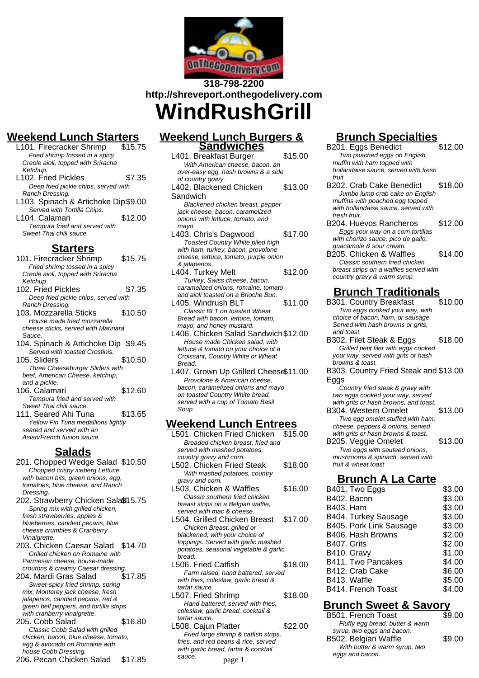

# **318-798-2200 http://shreveport.onthegodelivery.com WindRushGrill**

# **Weekend Lunch Starters**

- L101. Firecracker Shrimp Fried shrimp tossed in a spicy Creole aioli, topped with Sriracha Ketchup. L<sub>102</sub>. Fried Pickles \$7.35 Deep fried pickle chips, served with Ranch Dressing. L103. Spinach & Artichoke Dip\$9.00 Served with Tortilla Chips. L<sub>104</sub>. Calamari **\$12.00** Tempura fried and served with Sweet Thai chili sauce. **Starters**
- 101. Firecracker Shrimp \$15.75
- Fried shrimp tossed in a spicy Creole aioli, topped with Sriracha Ketchup. 102. Fried Pickles \$7.35 Deep fried pickle chips, served with Ranch Dressing. 103. Mozzarella Sticks \$10.50 House made fried mozzarella cheese sticks, served with Marinara Sauce. 104. Spinach & Artichoke Dip \$9.45 Served with toasted Crostinis. 105. Sliders \$10.50 Three Cheeseburger Sliders with beef, American Cheese, ketchup, and a pickle. 106. Calamari **\$12.60** Tempura fried and served with
- Sweet Thai chili sauce. 111. Seared Ahi Tuna \$13.65 Yellow Fin Tuna medallions lightly seared and served with an Asian/French fusion sauce.

### **Salads**

- 201. Chopped Wedge Salad \$10.50 Chopped crispy iceberg Lettuce with bacon bits, green onions, egg, tomatoes, blue cheese, and Ranch Dressing.
- 202. Strawberry Chicken Sala\$15.75 Spring mix with grilled chicken, fresh strawberries, apples & blueberries, candied pecans, blue cheese crumbles & Cranberry Vinaigrette.
- 203. Chicken Caesar Salad \$14.70 Grilled chicken on Romaine with Parmesan cheese, house-made
- croutons & creamy Caesar dressing.<br>04. Mardi Gras Salad \$17.85 204. Mardi Gras Salad Sweet-spicy fried shrimp, spring mix, Monterey jack cheese, fresh jalapenos, candied pecans, red & green bell peppers, and tortilla strips with cranberry vinaigrette.
- 205. Cobb Salad \$16.80 Classic Cobb Salad with grilled chicken, bacon, blue cheese, tomato, egg & avocado on Romaine with house Cobb Dressing. 206. Pecan Chicken Salad \$17.85

### **Weekend Lunch Burgers & Sandwiches**

- L401. Breakfast Burger \$15.00 With American cheese, bacon, an over-easy egg, hash browns & a side of country gravy. L402. Blackened Chicken Sandwich \$13.00 Blackened chicken breast, pepper jack cheese, bacon, caramelized onions with lettuce, tomato, and mayo. L403. Chris's Dagwood \$17.00 Toasted Country White piled high with ham, turkey, bacon, provolone cheese, lettuce, tomato, purple onion & jalapenos. L404. Turkey Melt \$12.00 Turkey, Swiss cheese, bacon, caramelized onions, romaine, tomato and aioli toasted on a Brioche Bun. L405. Windrush BLT \$11.00
- Classic BLT on toasted Wheat Bread with bacon, lettuce, tomato, mayo, and honey mustard.
- L406. Chicken Salad Sandwich\$12.00 House made Chicken salad, with lettuce & tomato on your choice of a Croissant, Country White or Wheat Bread.
- L407. Grown Up Grilled Cheese\$11.00 Provolone & American cheese, bacon, caramelized onions and mayo on toasted Country White bread, served with a cup of Tomato Basil Soup.

### **Weekend Lunch Entrees**

L501. Chicken Fried Chicken \$15.00 Breaded chicken breast, fried and served with mashed potatoes, country gravy and corn. L502. Chicken Fried Steak \$18.00 With mashed potatoes, country gravy and corn. L503. Chicken & Waffles \$16.00 Classic southern fried chicken breast strips on a Belgian waffle, served with mac & cheese. L504. Grilled Chicken Breast \$17.00 Chicken Breast, grilled or blackened, with your choice of toppings. Served with garlic mashed potatoes, seasonal vegetable & garlic bread. L506. Fried Catfish \$18.00 Farm raised, hand battered, served with fries, coleslaw, garlic bread & tartar sauce. L507. Fried Shrimp \$18.00 Hand battered, served with fries, coleslaw, garlic bread, cocktail & tartar sauce. L508. Cajun Platter \$22.00 Fried large shrimp & catfish strips, fries, and red beans & rice, served with garlic bread, tartar & cocktail sauce.

#### page 1

# **Brunch Specialties**

- B<sub>201</sub>. Eggs Benedict \$12.00 Two poached eggs on English muffin with ham topped with hollandaise sauce, served with fresh fruit
- B202. Crab Cake Benedict \$18.00 Jumbo lump crab cake on English muffins with poached egg topped with hollandaise sauce, served with fresh fruit.
- B<sub>204</sub>. Huevos Rancheros \$12.00 Eggs your way on a corn tortillas with chorizo sauce, pico de gallo, guacamole & sour cream.
- B205. Chicken & Waffles \$14.00 Classic southern fried chicken breast strips on a waffles served with country gravy & warm syrup.

# **Brunch Traditionals**

- B301. Country Breakfast \$10.00 Two eggs cooked your way, with choice of bacon, ham, or sausage. Served with hash browns or grits, and toast. **B302. Filet Steak & Eggs \$18.00** Grilled petit filet with eggs cooked your way, served with grits or hash browns & toast. B303. Country Fried Steak and \$13.00 Eggs Country fried steak & gravy with two eggs cooked your way, served with grits or hash browns, and toast. B304. Western Omelet \$13.00 Two egg omelet stuffed with ham, cheese, peppers & onions, served with grits or hash browns & toast. B205. Veggie Omelet \$13.00
- Two eggs with sauteed onions, mushrooms & spinach, served with fruit & wheat toast

# **Brunch A La Carte**

| B401. Two Eggs          | \$3.00 |
|-------------------------|--------|
| B402. Bacon             | \$3.00 |
| B403. Ham               | \$3.00 |
| B404. Turkey Sausage    | \$3.00 |
| B405. Pork Link Sausage | \$3.00 |
| B406. Hash Browns       | \$2.00 |
| B407. Grits             | \$2.00 |
| B410. Gravy             | \$1.00 |
| B411. Two Pancakes      | \$4.00 |
| B412. Crab Cake         | \$6.00 |
| B413. Waffle            | \$5.00 |
| B414, French Toast      | \$4.00 |
|                         |        |

# **Brunch Sweet & Savory**

| B501. French Toast              | \$9.00 |
|---------------------------------|--------|
| Fluffy egg bread, butter & warm |        |
| syrup, two eggs and bacon.      |        |
| B502. Belgian Waffle            | \$9.00 |
| With butter & warm syrup, two   |        |
| eggs and bacon.                 |        |
|                                 |        |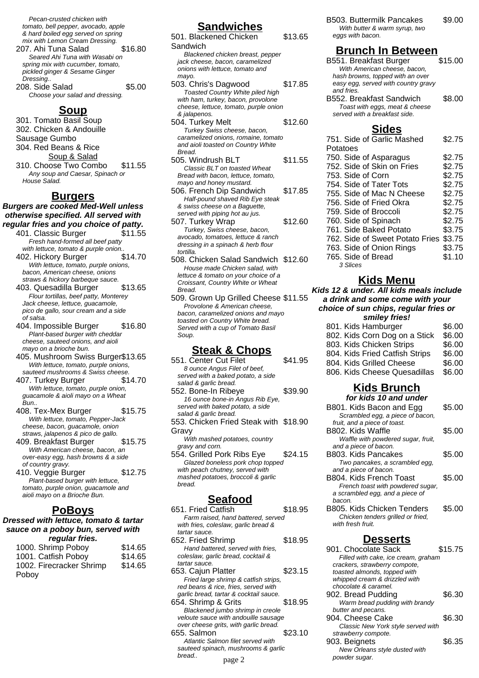Pecan-crusted chicken with tomato, bell pepper, avocado, apple & hard boiled egg served on spring mix with Lemon Cream Dressing.

- 207. Ahi Tuna Salad \$16.80 Seared Ahi Tuna with Wasabi on spring mix with cucumber, tomato, pickled ginger & Sesame Ginger Dressing..
- 208. Side Salad \$5.00 Choose your salad and dressing.

#### **Soup**

301. Tomato Basil Soup 302. Chicken & Andouille Sausage Gumbo 304. Red Beans & Rice Soup & Salad 310. Choose Two Combo \$11.55 Any soup and Caesar, Spinach or House Salad.

#### **Burgers**

#### **Burgers are cooked Med-Well unless otherwise specified. All served with regular fries and you choice of patty.**

- 401. Classic Burger \$11.55 Fresh hand-formed all beef patty with lettuce, tomato & purple onion.
- 402. Hickory Burger \$14.70 With lettuce, tomato, purple onions, bacon, American cheese, onions straws & hickory barbeque sauce.
- 403. Quesadilla Burger \$13.65 Flour tortillas, beef patty, Monterey Jack cheese, lettuce, guacamole, pico de gallo, sour cream and a side of salsa.
- 404. Impossible Burger \$16.80 Plant-based burger with cheddar cheese, sauteed onions, and aioli mayo on a brioche bun.
- 405. Mushroom Swiss Burger\$13.65 With lettuce, tomato, purple onions, sauteed mushrooms & Swiss cheese.
- 407. Turkey Burger \$14.70 With lettuce, tomato, purple onion, guacamole & aioli mayo on a Wheat Bun..
- 408. Tex-Mex Burger \$15.75 With lettuce, tomato, Pepper-Jack cheese, bacon, guacamole, onion straws, jalapenos & pico de gallo. 409. Breakfast Burger \$15.75
- With American cheese, bacon, an over-easy egg, hash browns & a side of country gravy. 410. Veggie Burger \$12.75
- Plant-based burger with lettuce, tomato, purple onion, guacamole and aioli mayo on a Brioche Bun.

### **PoBoys**

#### **Dressed with lettuce, tomato & tartar sauce on a poboy bun, served with regular fries.**

| 1000. Shrimp Poboy       | \$14.65 |
|--------------------------|---------|
| 1001. Catfish Poboy      | \$14.65 |
| 1002. Firecracker Shrimp | \$14.65 |
| Poboy                    |         |

## **Sandwiches**

| 501. Blackened Chicken                | \$13.65 |
|---------------------------------------|---------|
| Sandwich                              |         |
| Blackened chicken breast, pepper      |         |
| jack cheese, bacon, caramelized       |         |
| onions with lettuce, tomato and       |         |
| mayo.                                 |         |
| 503. Chris's Dagwood                  | \$17.85 |
| Toasted Country White piled high      |         |
| with ham, turkey, bacon, provolone    |         |
| cheese, lettuce, tomato, purple onion |         |
| & jalapenos.                          |         |
| 504. Turkey Melt                      | \$12.60 |
| Turkey Swiss cheese, bacon,           |         |
| caramelized onions, romaine, tomato   |         |
| and aioli toasted on Country White    |         |
| Bread.                                |         |
| 505. Windrush BLT                     | \$11.55 |
| Classic BLT on toasted Wheat          |         |
| Bread with bacon, lettuce, tomato,    |         |
| mayo and honey mustard.               |         |
| 506. French Dip Sandwich              | \$17.85 |
| Half-pound shaved Rib Eye steak       |         |
| & swiss cheese on a Baquette,         |         |
| served with piping hot au jus.        |         |
| 507. Turkey Wrap                      | \$12.60 |
| Turkey, Swiss cheese, bacon,          |         |
| avocado, tomatoes, lettuce & ranch    |         |
| dressing in a spinach & herb flour    |         |
| tortilla.                             |         |
| 508. Chicken Salad Sandwich \$12.60   |         |
| House made Chicken salad, with        |         |
|                                       |         |

- lettuce & tomato on your choice of a Croissant, Country White or Wheat **Bread** 509. Grown Up Grilled Cheese \$11.55
- Provolone & American cheese, bacon, caramelized onions and mayo toasted on Country White bread. Served with a cup of Tomato Basil Soup.

### **Steak & Chops**

| 551. Center Cut Filet                 | \$41.95 |
|---------------------------------------|---------|
| 8 ounce Angus Filet of beef.          |         |
| served with a baked potato, a side    |         |
| salad & garlic bread.                 |         |
| 552. Bone-In Ribeye                   | \$39.90 |
| 16 ounce bone-in Angus Rib Eye.       |         |
| served with baked potato, a side      |         |
| salad & garlic bread.                 |         |
| 553. Chicken Fried Steak with \$18.90 |         |
| Gravy                                 |         |
| With mashed potatoes, country         |         |
| gravy and corn.                       |         |
| 554. Grilled Pork Ribs Eye            | \$24.15 |
| Glazed boneless pork chop topped      |         |
| with peach chutney, served with       |         |
| mashed potatoes, broccoli & garlic    |         |
| bread.                                |         |

### **Seafood**

651. Fried Catfish \$18.95 Farm raised, hand battered, served with fries, coleslaw, garlic bread & tartar sauce. 652. Fried Shrimp \$18.95 Hand battered, served with fries, coleslaw, garlic bread, cocktail & tartar sauce. 653. Cajun Platter \$23.15 Fried large shrimp & catfish strips, red beans & rice, fries, served with garlic bread, tartar & cocktail sauce. 654. Shrimp & Grits \$18.95 Blackened jumbo shrimp in creole veloute sauce with andouille sausage over cheese grits, with garlic bread. 655. Salmon \$23.10 Atlantic Salmon filet served with sauteed spinach, mushrooms & garlic bread.. page 2

B503. Buttermilk Pancakes \$9.00 With butter & warm syrup, two eggs with bacon.

## **Brunch In Between**

- B551. Breakfast Burger \$15.00 With American cheese, bacon, hash browns, topped with an over easy egg, served with country gravy and fries. B552. Breakfast Sandwich \$8.00
	- Toast with eggs, meat & cheese served with a breakfast side.

#### **Sides**

| 751. Side of Garlic Mashed      | \$2.75 |
|---------------------------------|--------|
| Potatoes                        |        |
| 750. Side of Asparagus          | \$2.75 |
| 752. Side of Skin on Fries      | \$2.75 |
| 753. Side of Corn               | \$2.75 |
| 754. Side of Tater Tots         | \$2.75 |
| 755. Side of Mac N Cheese       | \$2.75 |
| 756. Side of Fried Okra         | \$2.75 |
| 759. Side of Broccoli           | \$2.75 |
| 760. Side of Spinach            | \$2.75 |
| 761. Side Baked Potato          | \$3.75 |
| 762. Side of Sweet Potato Fries | \$3.75 |
| 763. Side of Onion Rings        | \$3.75 |
| 765. Side of Bread              | \$1.10 |
| 3 Slices                        |        |

### **Kids Menu**

**Kids 12 & under. All kids meals include a drink and some come with your choice of sun chips, regular fries or**

| smiley fries! |                                |        |
|---------------|--------------------------------|--------|
|               | 801. Kids Hamburger            | \$6.00 |
|               | 802. Kids Corn Dog on a Stick  | \$6.00 |
|               | 803. Kids Chicken Strips       | \$6.00 |
|               | 804. Kids Fried Catfish Strips | \$6.00 |
|               | 804. Kids Grilled Cheese       | \$6.00 |
|               | 806. Kids Cheese Quesadillas   | \$6.00 |

# **Kids Brunch**

| for kids 10 and under              |        |
|------------------------------------|--------|
| B801. Kids Bacon and Egg           | \$5.00 |
| Scrambled egg, a piece of bacon,   |        |
| fruit, and a piece of toast.       |        |
| B802. Kids Waffle                  | \$5.00 |
| Waffle with powdered sugar, fruit, |        |
| and a piece of bacon.              |        |
| B803. Kids Pancakes                | \$5.00 |
| Two pancakes, a scrambled egg,     |        |
| and a piece of bacon.              |        |
| B804, Kids French Toast            | \$5.00 |
| French toast with powdered sugar,  |        |
| a scrambled egg, and a piece of    |        |
| bacon.                             |        |
| B805. Kids Chicken Tenders         | \$5.00 |
| Chicken tenders grilled or fried,  |        |
| with fresh fruit.                  |        |

#### **Desserts**

| 901. Chocolate Sack                 | \$15.75 |
|-------------------------------------|---------|
| Filled with cake, ice cream, graham |         |
| crackers, strawberry compote,       |         |
| toasted almonds, topped with        |         |
| whipped cream & drizzled with       |         |
| chocolate & caramel.                |         |
| 902. Bread Pudding                  | \$6.30  |
| Warm bread pudding with brandy      |         |
| butter and pecans.                  |         |
| 904. Cheese Cake                    | \$6.30  |
| Classic New York style served with  |         |
| strawberry compote.                 |         |
| 903. Beignets                       | \$6.35  |
| New Orleans style dusted with       |         |
| powder sugar.                       |         |